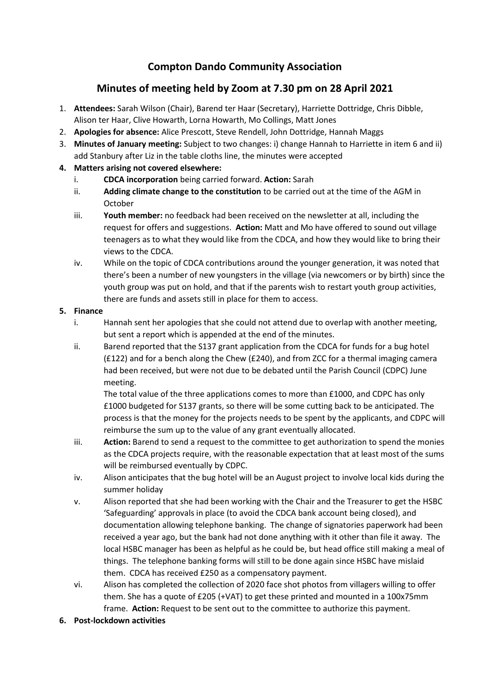# **Compton Dando Community Association**

# **Minutes of meeting held by Zoom at 7.30 pm on 28 April 2021**

- 1. **Attendees:** Sarah Wilson (Chair), Barend ter Haar (Secretary), Harriette Dottridge, Chris Dibble, Alison ter Haar, Clive Howarth, Lorna Howarth, Mo Collings, Matt Jones
- 2. **Apologies for absence:** Alice Prescott, Steve Rendell, John Dottridge, Hannah Maggs
- 3. **Minutes of January meeting:** Subject to two changes: i) change Hannah to Harriette in item 6 and ii) add Stanbury after Liz in the table cloths line, the minutes were accepted

#### **4. Matters arising not covered elsewhere:**

- i. **CDCA incorporation** being carried forward. **Action:** Sarah
- ii. **Adding climate change to the constitution** to be carried out at the time of the AGM in October
- iii. **Youth member:** no feedback had been received on the newsletter at all, including the request for offers and suggestions. **Action:** Matt and Mo have offered to sound out village teenagers as to what they would like from the CDCA, and how they would like to bring their views to the CDCA.
- iv. While on the topic of CDCA contributions around the younger generation, it was noted that there's been a number of new youngsters in the village (via newcomers or by birth) since the youth group was put on hold, and that if the parents wish to restart youth group activities, there are funds and assets still in place for them to access.

#### **5. Finance**

- i. Hannah sent her apologies that she could not attend due to overlap with another meeting, but sent a report which is appended at the end of the minutes.
- ii. Barend reported that the S137 grant application from the CDCA for funds for a bug hotel (£122) and for a bench along the Chew (£240), and from ZCC for a thermal imaging camera had been received, but were not due to be debated until the Parish Council (CDPC) June meeting.

The total value of the three applications comes to more than £1000, and CDPC has only £1000 budgeted for S137 grants, so there will be some cutting back to be anticipated. The process is that the money for the projects needs to be spent by the applicants, and CDPC will reimburse the sum up to the value of any grant eventually allocated.

- iii. **Action:** Barend to send a request to the committee to get authorization to spend the monies as the CDCA projects require, with the reasonable expectation that at least most of the sums will be reimbursed eventually by CDPC.
- iv. Alison anticipates that the bug hotel will be an August project to involve local kids during the summer holiday
- v. Alison reported that she had been working with the Chair and the Treasurer to get the HSBC 'Safeguarding' approvals in place (to avoid the CDCA bank account being closed), and documentation allowing telephone banking. The change of signatories paperwork had been received a year ago, but the bank had not done anything with it other than file it away. The local HSBC manager has been as helpful as he could be, but head office still making a meal of things. The telephone banking forms will still to be done again since HSBC have mislaid them. CDCA has received £250 as a compensatory payment.
- vi. Alison has completed the collection of 2020 face shot photos from villagers willing to offer them. She has a quote of £205 (+VAT) to get these printed and mounted in a 100x75mm frame. **Action:** Request to be sent out to the committee to authorize this payment.
- **6. Post-lockdown activities**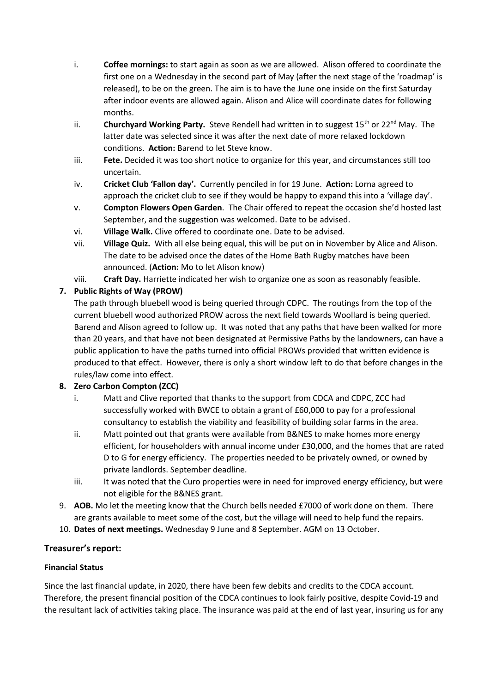- i. **Coffee mornings:** to start again as soon as we are allowed. Alison offered to coordinate the first one on a Wednesday in the second part of May (after the next stage of the 'roadmap' is released), to be on the green. The aim is to have the June one inside on the first Saturday after indoor events are allowed again. Alison and Alice will coordinate dates for following months.
- ii. **Churchyard Working Party.** Steve Rendell had written in to suggest 15<sup>th</sup> or 22<sup>nd</sup> May. The latter date was selected since it was after the next date of more relaxed lockdown conditions. **Action:** Barend to let Steve know.
- iii. **Fete.** Decided it was too short notice to organize for this year, and circumstances still too uncertain.
- iv. **Cricket Club 'Fallon day'.** Currently penciled in for 19 June. **Action:** Lorna agreed to approach the cricket club to see if they would be happy to expand this into a 'village day'.
- v. **Compton Flowers Open Garden**. The Chair offered to repeat the occasion she'd hosted last September, and the suggestion was welcomed. Date to be advised.
- vi. **Village Walk.** Clive offered to coordinate one. Date to be advised.
- vii. **Village Quiz.** With all else being equal, this will be put on in November by Alice and Alison. The date to be advised once the dates of the Home Bath Rugby matches have been announced. (**Action:** Mo to let Alison know)
- viii. **Craft Day.** Harriette indicated her wish to organize one as soon as reasonably feasible.

## **7. Public Rights of Way (PROW)**

The path through bluebell wood is being queried through CDPC. The routings from the top of the current bluebell wood authorized PROW across the next field towards Woollard is being queried. Barend and Alison agreed to follow up. It was noted that any paths that have been walked for more than 20 years, and that have not been designated at Permissive Paths by the landowners, can have a public application to have the paths turned into official PROWs provided that written evidence is produced to that effect. However, there is only a short window left to do that before changes in the rules/law come into effect.

## **8. Zero Carbon Compton (ZCC)**

- i. Matt and Clive reported that thanks to the support from CDCA and CDPC, ZCC had successfully worked with BWCE to obtain a grant of £60,000 to pay for a professional consultancy to establish the viability and feasibility of building solar farms in the area.
- ii. Matt pointed out that grants were available from B&NES to make homes more energy efficient, for householders with annual income under £30,000, and the homes that are rated D to G for energy efficiency. The properties needed to be privately owned, or owned by private landlords. September deadline.
- iii. It was noted that the Curo properties were in need for improved energy efficiency, but were not eligible for the B&NES grant.
- 9. **AOB.** Mo let the meeting know that the Church bells needed £7000 of work done on them. There are grants available to meet some of the cost, but the village will need to help fund the repairs.
- 10. **Dates of next meetings.** Wednesday 9 June and 8 September. AGM on 13 October.

## **Treasurer's report:**

## **Financial Status**

Since the last financial update, in 2020, there have been few debits and credits to the CDCA account. Therefore, the present financial position of the CDCA continues to look fairly positive, despite Covid-19 and the resultant lack of activities taking place. The insurance was paid at the end of last year, insuring us for any